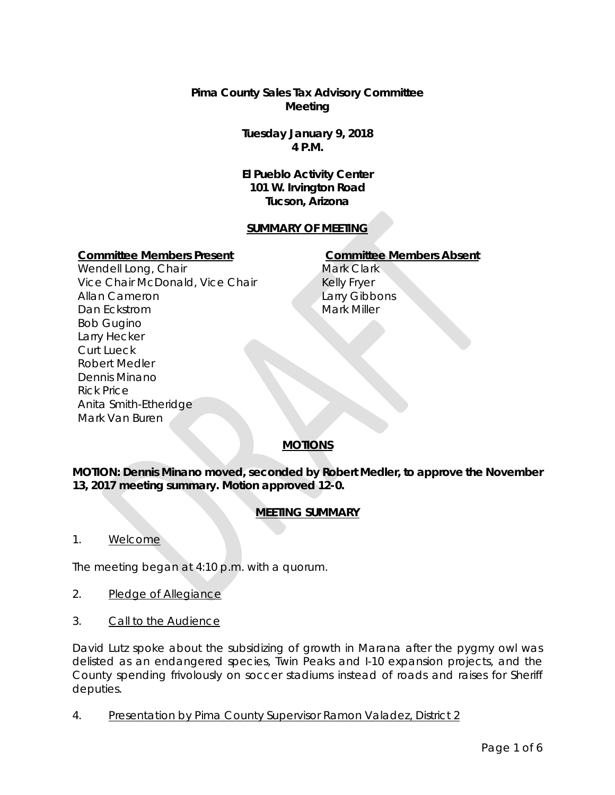**Pima County Sales Tax Advisory Committee Meeting**

> **Tuesday January 9, 2018 4 P.M.**

> **El Pueblo Activity Center 101 W. Irvington Road Tucson, Arizona**

## **SUMMARY OF MEETING**

#### **Committee Members Present Committee Members Absent**

Wendell Long, Chair Vice Chair McDonald, Vice Chair Allan Cameron Dan Eckstrom Bob Gugino Larry Hecker Curt Lueck Robert Medler Dennis Minano Rick Price Anita Smith-Etheridge Mark Van Buren

Mark Clark Kelly Fryer Larry Gibbons Mark Miller

# **MOTIONS**

**MOTION: Dennis Minano moved, seconded by Robert Medler, to approve the November 13, 2017 meeting summary. Motion approved 12-0.** 

# **MEETING SUMMARY**

1. Welcome

The meeting began at 4:10 p.m. with a quorum.

- 2. Pledge of Allegiance
- 3. Call to the Audience

David Lutz spoke about the subsidizing of growth in Marana after the pygmy owl was delisted as an endangered species, Twin Peaks and I-10 expansion projects, and the County spending frivolously on soccer stadiums instead of roads and raises for Sheriff deputies.

4. Presentation by Pima County Supervisor Ramon Valadez, District 2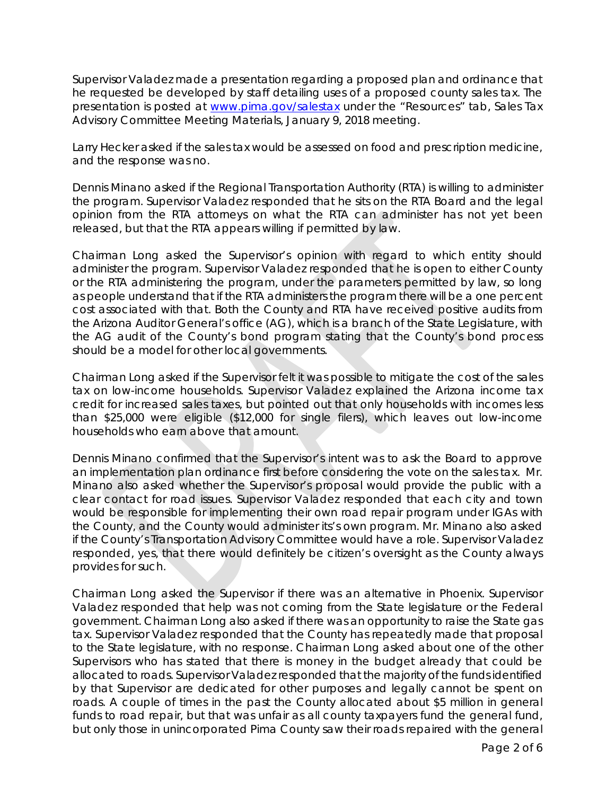Supervisor Valadez made a presentation regarding a proposed plan and ordinance that he requested be developed by staff detailing uses of a proposed county sales tax. The presentation is posted at [www.pima.gov/salestax](http://www.pima.gov/salestax) under the "Resources" tab, Sales Tax Advisory Committee Meeting Materials, January 9, 2018 meeting.

Larry Hecker asked if the sales tax would be assessed on food and prescription medicine, and the response was no.

Dennis Minano asked if the Regional Transportation Authority (RTA) is willing to administer the program. Supervisor Valadez responded that he sits on the RTA Board and the legal opinion from the RTA attorneys on what the RTA can administer has not yet been released, but that the RTA appears willing if permitted by law.

Chairman Long asked the Supervisor's opinion with regard to which entity should administer the program. Supervisor Valadez responded that he is open to either County or the RTA administering the program, under the parameters permitted by law, so long as people understand that if the RTA administers the program there will be a one percent cost associated with that. Both the County and RTA have received positive audits from the Arizona Auditor General's office (AG), which is a branch of the State Legislature, with the AG audit of the County's bond program stating that the County's bond process should be a model for other local governments.

Chairman Long asked if the Supervisor felt it was possible to mitigate the cost of the sales tax on low-income households. Supervisor Valadez explained the Arizona income tax credit for increased sales taxes, but pointed out that only households with incomes less than \$25,000 were eligible (\$12,000 for single filers), which leaves out low-income households who earn above that amount.

Dennis Minano confirmed that the Supervisor's intent was to ask the Board to approve an implementation plan ordinance first before considering the vote on the sales tax. Mr. Minano also asked whether the Supervisor's proposal would provide the public with a clear contact for road issues. Supervisor Valadez responded that each city and town would be responsible for implementing their own road repair program under IGAs with the County, and the County would administer its's own program. Mr. Minano also asked if the County's Transportation Advisory Committee would have a role. Supervisor Valadez responded, yes, that there would definitely be citizen's oversight as the County always provides for such.

Chairman Long asked the Supervisor if there was an alternative in Phoenix. Supervisor Valadez responded that help was not coming from the State legislature or the Federal government. Chairman Long also asked if there was an opportunity to raise the State gas tax. Supervisor Valadez responded that the County has repeatedly made that proposal to the State legislature, with no response. Chairman Long asked about one of the other Supervisors who has stated that there is money in the budget already that could be allocated to roads. Supervisor Valadez responded that the majority of the funds identified by that Supervisor are dedicated for other purposes and legally cannot be spent on roads. A couple of times in the past the County allocated about \$5 million in general funds to road repair, but that was unfair as all county taxpayers fund the general fund, but only those in unincorporated Pima County saw their roads repaired with the general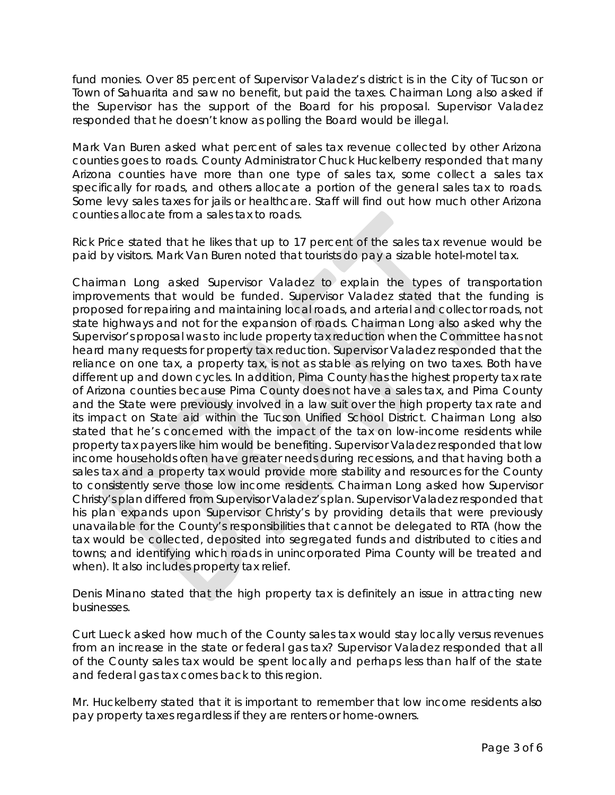fund monies. Over 85 percent of Supervisor Valadez's district is in the City of Tucson or Town of Sahuarita and saw no benefit, but paid the taxes. Chairman Long also asked if the Supervisor has the support of the Board for his proposal. Supervisor Valadez responded that he doesn't know as polling the Board would be illegal.

Mark Van Buren asked what percent of sales tax revenue collected by other Arizona counties goes to roads. County Administrator Chuck Huckelberry responded that many Arizona counties have more than one type of sales tax, some collect a sales tax specifically for roads, and others allocate a portion of the general sales tax to roads. Some levy sales taxes for jails or healthcare. Staff will find out how much other Arizona counties allocate from a sales tax to roads.

Rick Price stated that he likes that up to 17 percent of the sales tax revenue would be paid by visitors. Mark Van Buren noted that tourists do pay a sizable hotel-motel tax.

Chairman Long asked Supervisor Valadez to explain the types of transportation improvements that would be funded. Supervisor Valadez stated that the funding is proposed for repairing and maintaining local roads, and arterial and collector roads, not state highways and not for the expansion of roads. Chairman Long also asked why the Supervisor's proposal was to include property tax reduction when the Committee has not heard many requests for property tax reduction. Supervisor Valadez responded that the reliance on one tax, a property tax, is not as stable as relying on two taxes. Both have different up and down cycles. In addition, Pima County has the highest property tax rate of Arizona counties because Pima County does not have a sales tax, and Pima County and the State were previously involved in a law suit over the high property tax rate and its impact on State aid within the Tucson Unified School District. Chairman Long also stated that he's concerned with the impact of the tax on low-income residents while property tax payers like him would be benefiting. Supervisor Valadez responded that low income households often have greater needs during recessions, and that having both a sales tax and a property tax would provide more stability and resources for the County to consistently serve those low income residents. Chairman Long asked how Supervisor Christy's plan differed from Supervisor Valadez's plan. Supervisor Valadez responded that his plan expands upon Supervisor Christy's by providing details that were previously unavailable for the County's responsibilities that cannot be delegated to RTA (how the tax would be collected, deposited into segregated funds and distributed to cities and towns; and identifying which roads in unincorporated Pima County will be treated and when). It also includes property tax relief.

Denis Minano stated that the high property tax is definitely an issue in attracting new businesses.

Curt Lueck asked how much of the County sales tax would stay locally versus revenues from an increase in the state or federal gas tax? Supervisor Valadez responded that all of the County sales tax would be spent locally and perhaps less than half of the state and federal gas tax comes back to this region.

Mr. Huckelberry stated that it is important to remember that low income residents also pay property taxes regardless if they are renters or home-owners.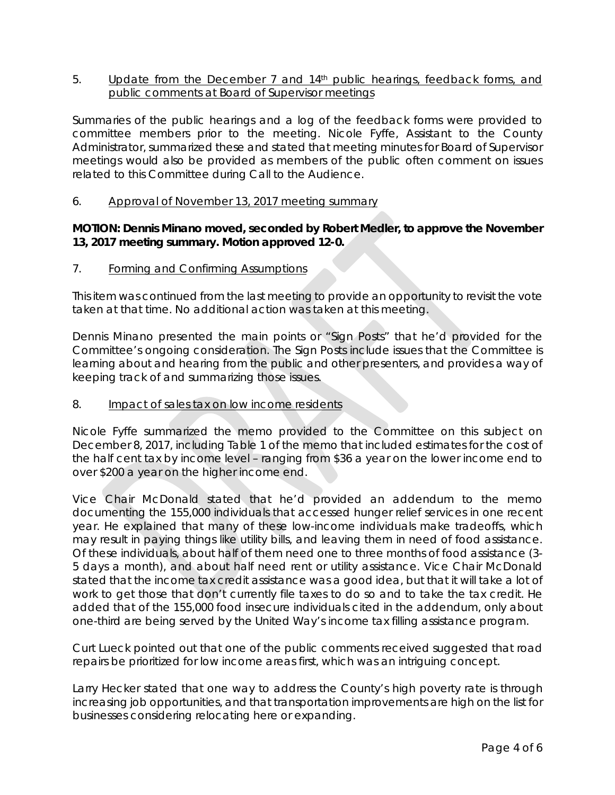5. Update from the December 7 and 14<sup>th</sup> public hearings, feedback forms, and public comments at Board of Supervisor meetings

Summaries of the public hearings and a log of the feedback forms were provided to committee members prior to the meeting. Nicole Fyffe, Assistant to the County Administrator, summarized these and stated that meeting minutes for Board of Supervisor meetings would also be provided as members of the public often comment on issues related to this Committee during Call to the Audience.

6. Approval of November 13, 2017 meeting summary

## **MOTION: Dennis Minano moved, seconded by Robert Medler, to approve the November 13, 2017 meeting summary. Motion approved 12-0.**

#### 7. Forming and Confirming Assumptions

This item was continued from the last meeting to provide an opportunity to revisit the vote taken at that time. No additional action was taken at this meeting.

Dennis Minano presented the main points or "Sign Posts" that he'd provided for the Committee's ongoing consideration. The Sign Posts include issues that the Committee is learning about and hearing from the public and other presenters, and provides a way of keeping track of and summarizing those issues.

#### 8. Impact of sales tax on low income residents

Nicole Fyffe summarized the memo provided to the Committee on this subject on December 8, 2017, including Table 1 of the memo that included estimates for the cost of the half cent tax by income level – ranging from \$36 a year on the lower income end to over \$200 a year on the higher income end.

Vice Chair McDonald stated that he'd provided an addendum to the memo documenting the 155,000 individuals that accessed hunger relief services in one recent year. He explained that many of these low-income individuals make tradeoffs, which may result in paying things like utility bills, and leaving them in need of food assistance. Of these individuals, about half of them need one to three months of food assistance (3- 5 days a month), and about half need rent or utility assistance. Vice Chair McDonald stated that the income tax credit assistance was a good idea, but that it will take a lot of work to get those that don't currently file taxes to do so and to take the tax credit. He added that of the 155,000 food insecure individuals cited in the addendum, only about one-third are being served by the United Way's income tax filling assistance program.

Curt Lueck pointed out that one of the public comments received suggested that road repairs be prioritized for low income areas first, which was an intriguing concept.

Larry Hecker stated that one way to address the County's high poverty rate is through increasing job opportunities, and that transportation improvements are high on the list for businesses considering relocating here or expanding.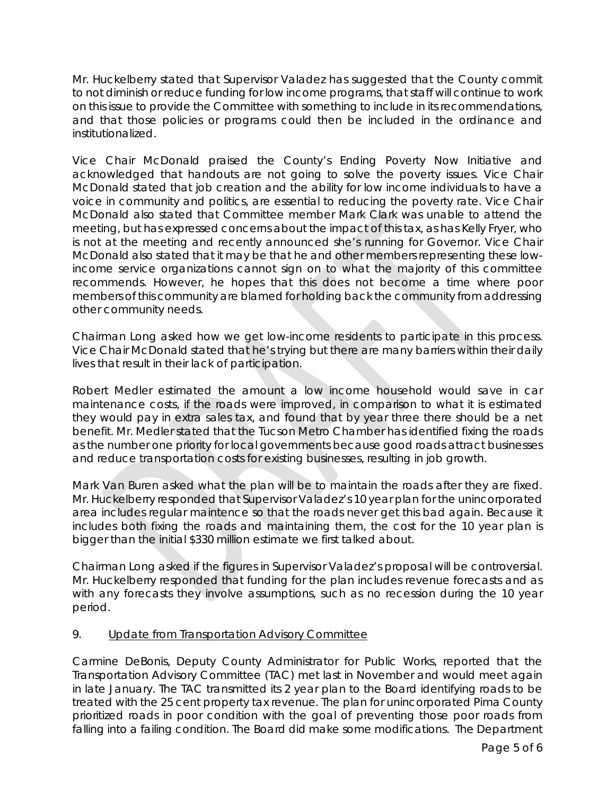Mr. Huckelberry stated that Supervisor Valadez has suggested that the County commit to not diminish or reduce funding for low income programs, that staff will continue to work on this issue to provide the Committee with something to include in its recommendations, and that those policies or programs could then be included in the ordinance and institutionalized.

Vice Chair McDonald praised the County's Ending Poverty Now Initiative and acknowledged that handouts are not going to solve the poverty issues. Vice Chair McDonald stated that job creation and the ability for low income individuals to have a voice in community and politics, are essential to reducing the poverty rate. Vice Chair McDonald also stated that Committee member Mark Clark was unable to attend the meeting, but has expressed concerns about the impact of this tax, as has Kelly Fryer, who is not at the meeting and recently announced she's running for Governor. Vice Chair McDonald also stated that it may be that he and other members representing these lowincome service organizations cannot sign on to what the majority of this committee recommends. However, he hopes that this does not become a time where poor members of this community are blamed for holding back the community from addressing other community needs.

Chairman Long asked how we get low-income residents to participate in this process. Vice Chair McDonald stated that he's trying but there are many barriers within their daily lives that result in their lack of participation.

Robert Medler estimated the amount a low income household would save in car maintenance costs, if the roads were improved, in comparison to what it is estimated they would pay in extra sales tax, and found that by year three there should be a net benefit. Mr. Medler stated that the Tucson Metro Chamber has identified fixing the roads as the number one priority for local governments because good roads attract businesses and reduce transportation costs for existing businesses, resulting in job growth.

Mark Van Buren asked what the plan will be to maintain the roads after they are fixed. Mr. Huckelberry responded that Supervisor Valadez's 10 year plan for the unincorporated area includes regular maintence so that the roads never get this bad again. Because it includes both fixing the roads and maintaining them, the cost for the 10 year plan is bigger than the initial \$330 million estimate we first talked about.

Chairman Long asked if the figures in Supervisor Valadez's proposal will be controversial. Mr. Huckelberry responded that funding for the plan includes revenue forecasts and as with any forecasts they involve assumptions, such as no recession during the 10 year period.

# 9. Update from Transportation Advisory Committee

Carmine DeBonis, Deputy County Administrator for Public Works, reported that the Transportation Advisory Committee (TAC) met last in November and would meet again in late January. The TAC transmitted its 2 year plan to the Board identifying roads to be treated with the 25 cent property tax revenue. The plan for unincorporated Pima County prioritized roads in poor condition with the goal of preventing those poor roads from falling into a failing condition. The Board did make some modifications. The Department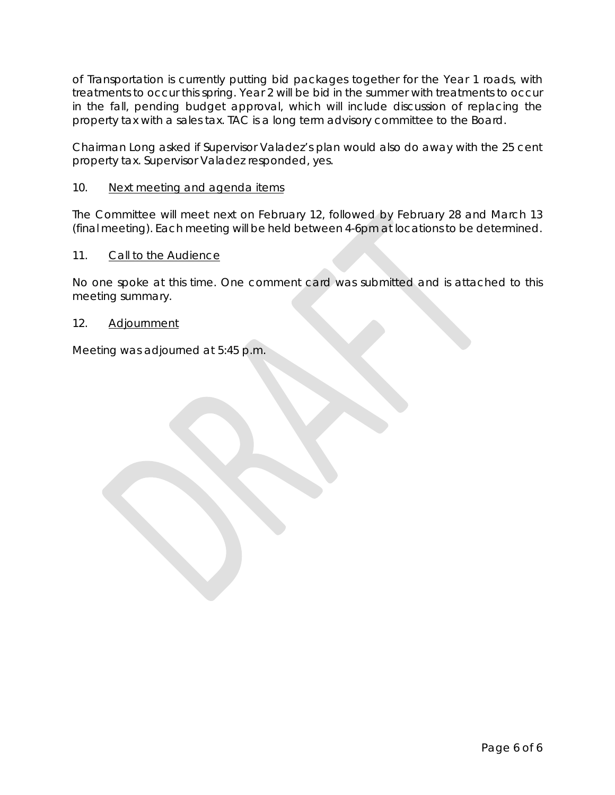of Transportation is currently putting bid packages together for the Year 1 roads, with treatments to occur this spring. Year 2 will be bid in the summer with treatments to occur in the fall, pending budget approval, which will include discussion of replacing the property tax with a sales tax. TAC is a long term advisory committee to the Board.

Chairman Long asked if Supervisor Valadez's plan would also do away with the 25 cent property tax. Supervisor Valadez responded, yes.

## 10. Next meeting and agenda items

The Committee will meet next on February 12, followed by February 28 and March 13 (final meeting). Each meeting will be held between 4-6pm at locations to be determined.

## 11. Call to the Audience

No one spoke at this time. One comment card was submitted and is attached to this meeting summary.

#### 12. Adjournment

Meeting was adjourned at 5:45 p.m.